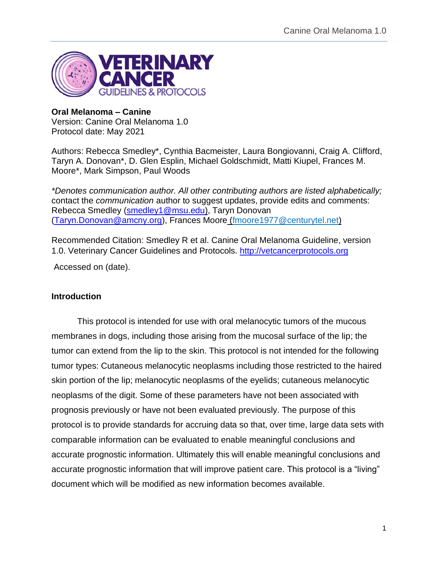

#### **Oral Melanoma – Canine**

Version: Canine Oral Melanoma 1.0 Protocol date: May 2021

Authors: Rebecca Smedley\*, Cynthia Bacmeister, Laura Bongiovanni, Craig A. Clifford, Taryn A. Donovan\*, D. Glen Esplin, Michael Goldschmidt, Matti Kiupel, Frances M. Moore\*, Mark Simpson, Paul Woods

*\*Denotes communication author. All other contributing authors are listed alphabetically;*  contact the *communication* author to suggest updates, provide edits and comments: Rebecca Smedley [\(smedley1@msu.edu\)](mailto:smedley1@msu.edu), Taryn Donovan [\(Taryn.Donovan@amcny.org\)](mailto:Taryn.Donovan@amcny.org), Frances Moore (fmoore1977@centurytel.net)

Recommended Citation: Smedley R et al. Canine Oral Melanoma Guideline, version 1.0. Veterinary Cancer Guidelines and Protocols. [http://vetcancerprotocols.org](http://vetcancerprotocols.org/)

Accessed on (date).

# **Introduction**

This protocol is intended for use with oral melanocytic tumors of the mucous membranes in dogs, including those arising from the mucosal surface of the lip; the tumor can extend from the lip to the skin. This protocol is not intended for the following tumor types: Cutaneous melanocytic neoplasms including those restricted to the haired skin portion of the lip; melanocytic neoplasms of the eyelids; cutaneous melanocytic neoplasms of the digit. Some of these parameters have not been associated with prognosis previously or have not been evaluated previously. The purpose of this protocol is to provide standards for accruing data so that, over time, large data sets with comparable information can be evaluated to enable meaningful conclusions and accurate prognostic information. Ultimately this will enable meaningful conclusions and accurate prognostic information that will improve patient care. This protocol is a "living" document which will be modified as new information becomes available.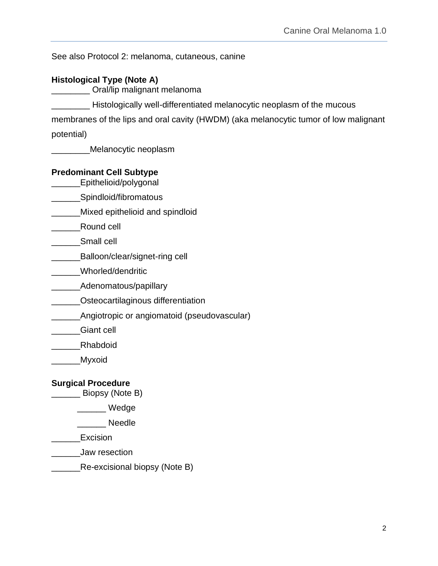See also Protocol 2: melanoma, cutaneous, canine

# **Histological Type (Note A)**

\_\_\_\_\_\_\_\_ Oral/lip malignant melanoma

**EXECUTE:** Histologically well-differentiated melanocytic neoplasm of the mucous

membranes of the lips and oral cavity (HWDM) (aka melanocytic tumor of low malignant

potential)

\_\_\_\_\_\_\_\_Melanocytic neoplasm

# **Predominant Cell Subtype**

\_\_\_\_\_\_Epithelioid/polygonal

**\_\_\_\_\_\_\_Spindloid/fibromatous** 

\_\_\_\_\_\_Mixed epithelioid and spindloid

\_\_\_\_\_\_Round cell

\_\_\_\_\_\_Small cell

\_\_\_\_\_\_\_\_\_Balloon/clear/signet-ring cell

\_\_\_\_\_\_Whorled/dendritic

\_\_\_\_\_\_Adenomatous/papillary

- **COSTEDGERITY** COSTEDGERITIES CONTENTS OF LATERATION
- \_\_\_\_\_\_\_\_\_Angiotropic or angiomatoid (pseudovascular)

\_\_\_\_\_\_Giant cell

\_\_\_\_\_\_Rhabdoid

\_\_\_\_\_\_Myxoid

# **Surgical Procedure**

\_\_\_\_\_\_ Biopsy (Note B)

\_\_\_\_\_\_ Wedge

\_\_\_\_\_\_ Needle

\_\_\_\_\_\_Excision

- \_\_\_\_\_\_Jaw resection
- **Note B**) Re-excisional biopsy (Note B)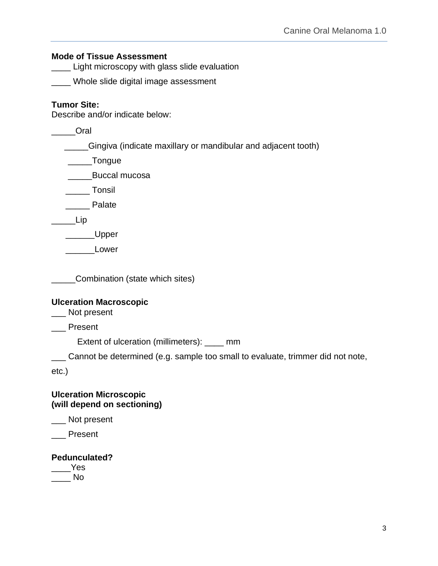#### **Mode of Tissue Assessment**

**\_\_\_\_ Light microscopy with glass slide evaluation** 

\_\_\_\_ Whole slide digital image assessment

# **Tumor Site:**

Describe and/or indicate below:

\_\_\_\_\_Oral

\_\_\_\_\_Gingiva (indicate maxillary or mandibular and adjacent tooth)

\_\_\_\_\_Tongue

\_\_\_\_\_Buccal mucosa

\_\_\_\_\_ Tonsil

\_\_\_\_\_ Palate

\_\_\_\_\_Lip

\_\_\_\_\_\_\_Upper

Lower

**\_\_\_\_\_\_Combination (state which sites)** 

#### **Ulceration Macroscopic**

\_\_\_ Not present

\_\_\_ Present

Extent of ulceration (millimeters): \_\_\_\_ mm

\_\_\_ Cannot be determined (e.g. sample too small to evaluate, trimmer did not note,

etc.)

#### **Ulceration Microscopic (will depend on sectioning)**

\_\_\_ Not present

\_\_\_ Present

# **Pedunculated?**

 $\rule{1em}{0.15mm}$ Yes  $\blacksquare$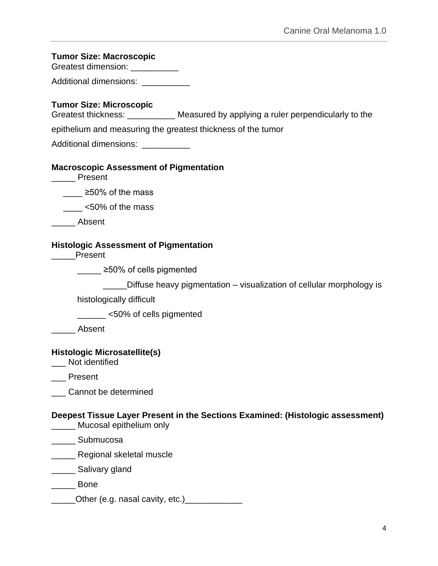#### **Tumor Size: Macroscopic**

Greatest dimension: \_\_\_\_\_\_\_\_\_\_\_

Additional dimensions: \_\_\_\_\_\_\_\_\_\_

#### **Tumor Size: Microscopic**

Greatest thickness: \_\_\_\_\_\_\_\_\_\_\_\_\_ Measured by applying a ruler perpendicularly to the

epithelium and measuring the greatest thickness of the tumor

Additional dimensions: \_\_\_\_\_\_\_\_\_\_

#### **Macroscopic Assessment of Pigmentation**

\_\_\_\_\_ Present

≥50% of the mass

 $\frac{1}{2}$  <50% of the mass

\_\_\_\_\_ Absent

#### **Histologic Assessment of Pigmentation**

\_\_\_\_\_Present

\_\_\_\_\_ ≥50% of cells pigmented

Diffuse heavy pigmentation – visualization of cellular morphology is

histologically difficult

\_\_\_\_\_\_ <50% of cells pigmented

\_\_\_\_\_ Absent

#### **Histologic Microsatellite(s)**

\_\_\_ Not identified

\_\_\_ Present

\_\_\_ Cannot be determined

**Deepest Tissue Layer Present in the Sections Examined: (Histologic assessment)**

\_\_\_\_\_ Mucosal epithelium only

\_\_\_\_\_ Submucosa

**\_\_\_\_\_\_** Regional skeletal muscle

\_\_\_\_\_ Salivary gland

\_\_\_\_\_ Bone

\_\_\_\_\_\_Other (e.g. nasal cavity, etc.)\_\_\_\_\_\_\_\_\_\_\_\_\_\_\_\_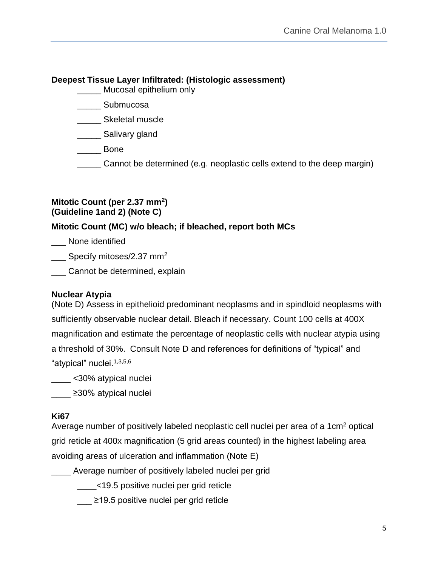# **Deepest Tissue Layer Infiltrated: (Histologic assessment)**

\_\_\_\_\_ Mucosal epithelium only

- \_\_\_\_\_ Submucosa
- \_\_\_\_\_ Skeletal muscle
- \_\_\_\_\_ Salivary gland
- \_\_\_\_\_ Bone
- \_\_\_\_\_ Cannot be determined (e.g. neoplastic cells extend to the deep margin)

#### **Mitotic Count (per 2.37 mm<sup>2</sup> ) (Guideline 1and 2) (Note C)**

# **Mitotic Count (MC) w/o bleach; if bleached, report both MCs**

\_\_\_ None identified

Specify mitoses/2.37 mm<sup>2</sup>

\_\_\_ Cannot be determined, explain

# **Nuclear Atypia**

(Note D) Assess in epithelioid predominant neoplasms and in spindloid neoplasms with sufficiently observable nuclear detail. Bleach if necessary. Count 100 cells at 400X magnification and estimate the percentage of neoplastic cells with nuclear atypia using a threshold of 30%. Consult Note D and references for definitions of "typical" and "atypical" nuclei.1,3,5,6

\_\_\_\_ <30% atypical nuclei

\_\_\_\_ ≥30% atypical nuclei

# **Ki67**

Average number of positively labeled neoplastic cell nuclei per area of a 1cm<sup>2</sup> optical grid reticle at 400x magnification (5 grid areas counted) in the highest labeling area avoiding areas of ulceration and inflammation (Note E)

\_\_\_\_ Average number of positively labeled nuclei per grid

\_\_\_\_<19.5 positive nuclei per grid reticle

\_\_\_ ≥19.5 positive nuclei per grid reticle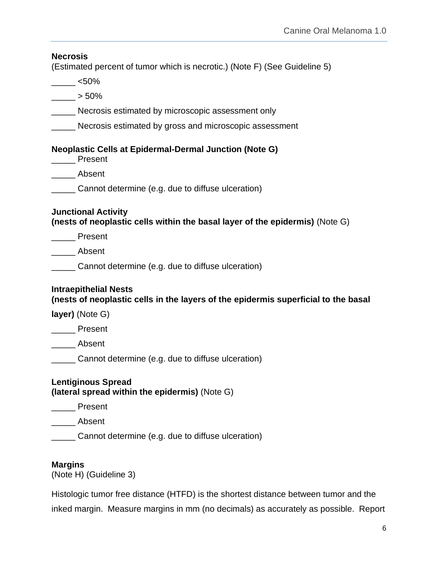# **Necrosis**  (Estimated percent of tumor which is necrotic.) (Note F) (See Guideline 5)  $<$ 50%  $\rule{1em}{0.15mm}$  > 50% Necrosis estimated by microscopic assessment only **Necrosis estimated by gross and microscopic assessment Neoplastic Cells at Epidermal-Dermal Junction (Note G)** \_\_\_\_\_ Present \_\_\_\_\_ Absent \_\_\_\_\_ Cannot determine (e.g. due to diffuse ulceration) **Junctional Activity (nests of neoplastic cells within the basal layer of the epidermis)** (Note G) \_\_\_\_\_ Present \_\_\_\_\_ Absent \_\_\_\_\_ Cannot determine (e.g. due to diffuse ulceration) **Intraepithelial Nests (nests of neoplastic cells in the layers of the epidermis superficial to the basal layer)** (Note G) \_\_\_\_\_ Present \_\_\_\_\_ Absent \_\_\_\_\_ Cannot determine (e.g. due to diffuse ulceration) **Lentiginous Spread (lateral spread within the epidermis)** (Note G) \_\_\_\_\_ Present \_\_\_\_\_ Absent \_\_\_\_\_ Cannot determine (e.g. due to diffuse ulceration) **Margins**

(Note H) (Guideline 3)

Histologic tumor free distance (HTFD) is the shortest distance between tumor and the inked margin. Measure margins in mm (no decimals) as accurately as possible. Report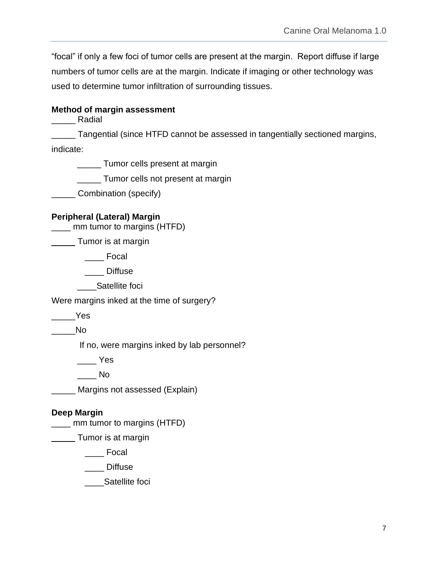"focal" if only a few foci of tumor cells are present at the margin. Report diffuse if large numbers of tumor cells are at the margin. Indicate if imaging or other technology was used to determine tumor infiltration of surrounding tissues.

# **Method of margin assessment**

\_\_\_\_\_ Radial

Tangential (since HTFD cannot be assessed in tangentially sectioned margins, indicate:

\_\_\_\_\_ Tumor cells present at margin

\_\_\_\_\_ Tumor cells not present at margin

\_\_\_\_\_ Combination (specify)

# **Peripheral (Lateral) Margin**

\_\_\_\_ mm tumor to margins (HTFD)

**Tumor is at margin** 

\_\_\_\_ Focal

Diffuse

\_\_\_\_Satellite foci

Were margins inked at the time of surgery?

\_\_\_\_\_Yes

 $\blacksquare$ 

If no, were margins inked by lab personnel?

 $\rule{1em}{0.15mm}$  Yes

 $\overline{\phantom{a}}$  No

\_\_\_\_\_ Margins not assessed (Explain)

# **Deep Margin**

\_\_\_\_ mm tumor to margins (HTFD)

**Tumor is at margin** 

\_\_\_\_ Focal

\_\_\_\_ Diffuse

\_\_\_\_Satellite foci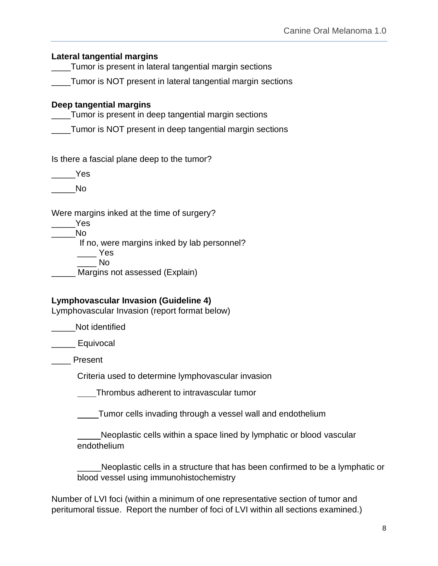| <b>Lateral tangential margins</b>                                                                           |
|-------------------------------------------------------------------------------------------------------------|
| Tumor is present in lateral tangential margin sections                                                      |
| _Tumor is NOT present in lateral tangential margin sections                                                 |
| Deep tangential margins<br>Tumor is present in deep tangential margin sections                              |
| Tumor is NOT present in deep tangential margin sections                                                     |
| Is there a fascial plane deep to the tumor?                                                                 |
| <b>Paradox</b> Yes                                                                                          |
| No                                                                                                          |
| Were margins inked at the time of surgery?<br>e Yes<br>in No<br>If no, were margins inked by lab personnel? |
| Yes<br><b>No</b><br>Margins not assessed (Explain)                                                          |
| Lymphovascular Invasion (Guideline 4)<br>Lymphovascular Invasion (report format below)                      |
| Not identified                                                                                              |
| $\_$ Equivocal                                                                                              |
| Present                                                                                                     |
| Criteria used to determine lymphovascular invasion                                                          |
| Thrombus adherent to intravascular tumor                                                                    |
| Tumor cells invading through a vessel wall and endothelium                                                  |
| Neoplastic cells within a space lined by lymphatic or blood vascular<br>endothelium                         |
| Neoplastic cells in a structure that has been confirmed to be a lymphatic or                                |

Number of LVI foci (within a minimum of one representative section of tumor and peritumoral tissue. Report the number of foci of LVI within all sections examined.)

blood vessel using immunohistochemistry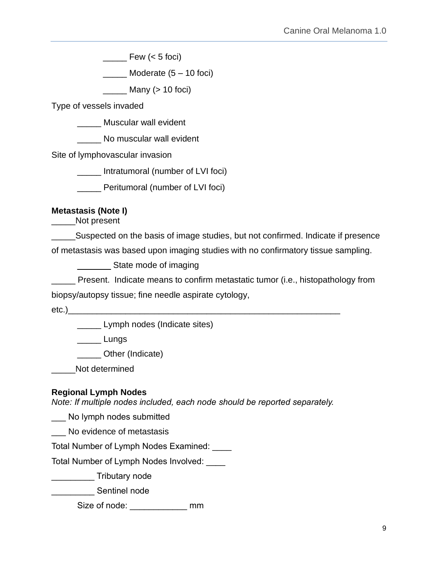$\frac{1}{2}$  Few (< 5 foci)

 $\frac{1}{2}$  Moderate (5 – 10 foci)

 $\frac{1}{2}$  Many (> 10 foci)

Type of vessels invaded

\_\_\_\_\_ Muscular wall evident

No muscular wall evident

Site of lymphovascular invasion

\_\_\_\_\_ Intratumoral (number of LVI foci)

\_\_\_\_\_ Peritumoral (number of LVI foci)

# **Metastasis (Note I)**

Not present

**EXECO SUSPECTED ON THE DASK OF STATE STATE:** Suspected on the basis of image studies, but not confirmed. Indicate if presence of metastasis was based upon imaging studies with no confirmatory tissue sampling.

State mode of imaging

Present. Indicate means to confirm metastatic tumor (i.e., histopathology from

biopsy/autopsy tissue; fine needle aspirate cytology,

 $etc.)$ 

**\_\_\_\_\_** Lymph nodes (Indicate sites)

\_\_\_\_\_ Lungs

\_\_\_\_\_ Other (Indicate)

\_\_\_\_\_Not determined

# **Regional Lymph Nodes**

*Note: If multiple nodes included, each node should be reported separately.*

\_\_\_ No lymph nodes submitted

\_\_\_ No evidence of metastasis

Total Number of Lymph Nodes Examined: \_\_\_\_

Total Number of Lymph Nodes Involved: \_\_\_\_

\_\_\_\_\_\_\_\_\_ Tributary node

\_\_\_\_\_\_\_\_\_ Sentinel node

Size of node: \_\_\_\_\_\_\_\_\_\_\_\_\_\_\_ mm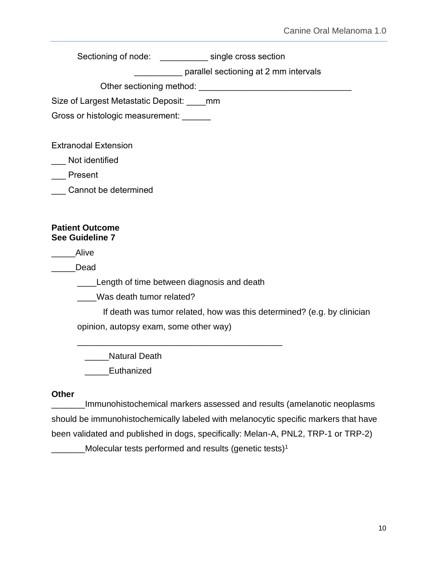Sectioning of node: \_\_\_\_\_\_\_\_\_\_\_ single cross section

**EXECUTE:** parallel sectioning at 2 mm intervals

Other sectioning method:  $\Box$ 

Size of Largest Metastatic Deposit: mm

Gross or histologic measurement: \_\_\_\_\_\_\_

Extranodal Extension

Not identified

\_\_\_ Present

\_\_\_ Cannot be determined

#### **Patient Outcome See Guideline 7**

\_\_\_\_\_Alive

\_\_\_\_\_Dead

**Length of time between diagnosis and death** 

\_\_\_\_\_\_\_\_\_\_\_\_\_\_\_\_\_\_\_\_\_\_\_\_\_\_\_\_\_\_\_\_\_\_\_\_\_\_\_\_\_\_\_

\_\_\_\_Was death tumor related?

If death was tumor related, how was this determined? (e.g. by clinician opinion, autopsy exam, some other way)

\_\_\_\_\_Natural Death

\_\_\_\_\_Euthanized

#### **Other**

\_\_\_\_\_\_\_Immunohistochemical markers assessed and results (amelanotic neoplasms should be immunohistochemically labeled with melanocytic specific markers that have been validated and published in dogs, specifically: Melan-A, PNL2, TRP-1 or TRP-2) \_Molecular tests performed and results (genetic tests)<sup>1</sup>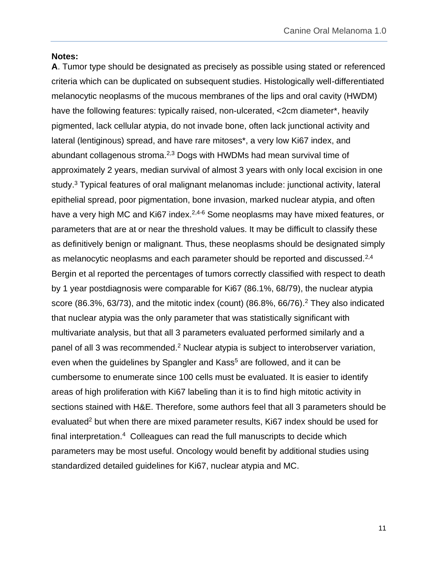#### **Notes:**

**A**. Tumor type should be designated as precisely as possible using stated or referenced criteria which can be duplicated on subsequent studies. Histologically well-differentiated melanocytic neoplasms of the mucous membranes of the lips and oral cavity (HWDM) have the following features: typically raised, non-ulcerated, <2cm diameter\*, heavily pigmented, lack cellular atypia, do not invade bone, often lack junctional activity and lateral (lentiginous) spread, and have rare mitoses\*, a very low Ki67 index, and abundant collagenous stroma.2,3 Dogs with HWDMs had mean survival time of approximately 2 years, median survival of almost 3 years with only local excision in one study.<sup>3</sup> Typical features of oral malignant melanomas include: junctional activity, lateral epithelial spread, poor pigmentation, bone invasion, marked nuclear atypia, and often have a very high MC and Ki67 index.<sup>2,4-6</sup> Some neoplasms may have mixed features, or parameters that are at or near the threshold values. It may be difficult to classify these as definitively benign or malignant. Thus, these neoplasms should be designated simply as melanocytic neoplasms and each parameter should be reported and discussed.<sup>2,4</sup> Bergin et al reported the percentages of tumors correctly classified with respect to death by 1 year postdiagnosis were comparable for Ki67 (86.1%, 68/79), the nuclear atypia score (86.3%, 63/73), and the mitotic index (count) (86.8%, 66/76).<sup>2</sup> They also indicated that nuclear atypia was the only parameter that was statistically significant with multivariate analysis, but that all 3 parameters evaluated performed similarly and a panel of all 3 was recommended.<sup>2</sup> Nuclear atypia is subject to interobserver variation, even when the guidelines by Spangler and Kass<sup>5</sup> are followed, and it can be cumbersome to enumerate since 100 cells must be evaluated. It is easier to identify areas of high proliferation with Ki67 labeling than it is to find high mitotic activity in sections stained with H&E. Therefore, some authors feel that all 3 parameters should be evaluated<sup>2</sup> but when there are mixed parameter results, Ki67 index should be used for final interpretation.<sup>4</sup> Colleagues can read the full manuscripts to decide which parameters may be most useful. Oncology would benefit by additional studies using standardized detailed guidelines for Ki67, nuclear atypia and MC.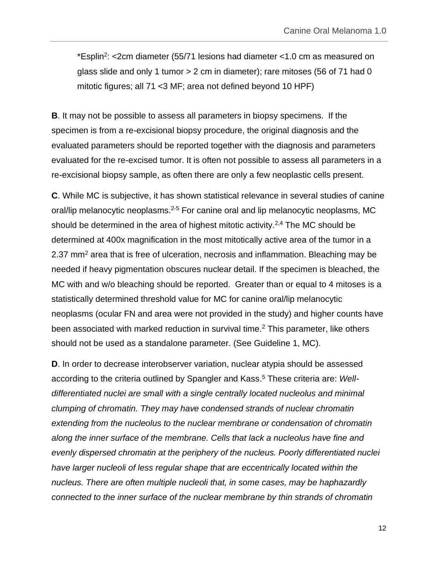\*Esplin<sup>2</sup> : <2cm diameter (55/71 lesions had diameter <1.0 cm as measured on glass slide and only 1 tumor  $> 2$  cm in diameter); rare mitoses (56 of 71 had 0 mitotic figures; all 71 <3 MF; area not defined beyond 10 HPF)

**B**. It may not be possible to assess all parameters in biopsy specimens. If the specimen is from a re-excisional biopsy procedure, the original diagnosis and the evaluated parameters should be reported together with the diagnosis and parameters evaluated for the re-excised tumor. It is often not possible to assess all parameters in a re-excisional biopsy sample, as often there are only a few neoplastic cells present.

**C**. While MC is subjective, it has shown statistical relevance in several studies of canine oral/lip melanocytic neoplasms.<sup>2-5</sup> For canine oral and lip melanocytic neoplasms, MC should be determined in the area of highest mitotic activity.<sup>2,4</sup> The MC should be determined at 400x magnification in the most mitotically active area of the tumor in a 2.37 mm<sup>2</sup> area that is free of ulceration, necrosis and inflammation. Bleaching may be needed if heavy pigmentation obscures nuclear detail. If the specimen is bleached, the MC with and w/o bleaching should be reported. Greater than or equal to 4 mitoses is a statistically determined threshold value for MC for canine oral/lip melanocytic neoplasms (ocular FN and area were not provided in the study) and higher counts have been associated with marked reduction in survival time.<sup>2</sup> This parameter, like others should not be used as a standalone parameter. (See Guideline 1, MC).

**D**. In order to decrease interobserver variation, nuclear atypia should be assessed according to the criteria outlined by Spangler and Kass. <sup>5</sup> These criteria are: *Welldifferentiated nuclei are small with a single centrally located nucleolus and minimal clumping of chromatin. They may have condensed strands of nuclear chromatin extending from the nucleolus to the nuclear membrane or condensation of chromatin along the inner surface of the membrane. Cells that lack a nucleolus have fine and evenly dispersed chromatin at the periphery of the nucleus. Poorly differentiated nuclei have larger nucleoli of less regular shape that are eccentrically located within the nucleus. There are often multiple nucleoli that, in some cases, may be haphazardly connected to the inner surface of the nuclear membrane by thin strands of chromatin*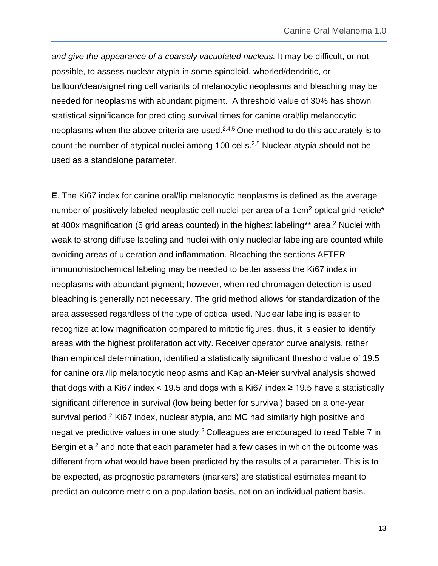*and give the appearance of a coarsely vacuolated nucleus.* It may be difficult, or not possible, to assess nuclear atypia in some spindloid, whorled/dendritic, or balloon/clear/signet ring cell variants of melanocytic neoplasms and bleaching may be needed for neoplasms with abundant pigment. A threshold value of 30% has shown statistical significance for predicting survival times for canine oral/lip melanocytic neoplasms when the above criteria are used. $2,4,5$  One method to do this accurately is to count the number of atypical nuclei among 100 cells.<sup>2,5</sup> Nuclear atypia should not be used as a standalone parameter.

**E**. The Ki67 index for canine oral/lip melanocytic neoplasms is defined as the average number of positively labeled neoplastic cell nuclei per area of a 1cm<sup>2</sup> optical grid reticle<sup>\*</sup> at 400x magnification (5 grid areas counted) in the highest labeling\*\* area.<sup>2</sup> Nuclei with weak to strong diffuse labeling and nuclei with only nucleolar labeling are counted while avoiding areas of ulceration and inflammation. Bleaching the sections AFTER immunohistochemical labeling may be needed to better assess the Ki67 index in neoplasms with abundant pigment; however, when red chromagen detection is used bleaching is generally not necessary. The grid method allows for standardization of the area assessed regardless of the type of optical used. Nuclear labeling is easier to recognize at low magnification compared to mitotic figures, thus, it is easier to identify areas with the highest proliferation activity. Receiver operator curve analysis, rather than empirical determination, identified a statistically significant threshold value of 19.5 for canine oral/lip melanocytic neoplasms and Kaplan-Meier survival analysis showed that dogs with a Ki67 index  $<$  19.5 and dogs with a Ki67 index  $\geq$  19.5 have a statistically significant difference in survival (low being better for survival) based on a one-year survival period.<sup>2</sup> Ki67 index, nuclear atypia, and MC had similarly high positive and negative predictive values in one study.<sup>2</sup> Colleagues are encouraged to read Table 7 in Bergin et al<sup>2</sup> and note that each parameter had a few cases in which the outcome was different from what would have been predicted by the results of a parameter. This is to be expected, as prognostic parameters (markers) are statistical estimates meant to predict an outcome metric on a population basis, not on an individual patient basis.

13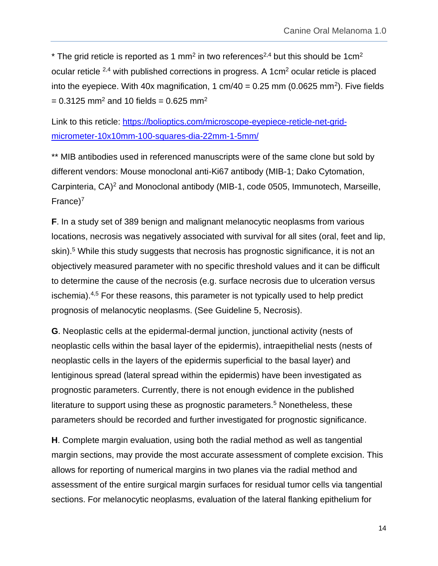\* The grid reticle is reported as 1 mm<sup>2</sup> in two references<sup>2,4</sup> but this should be 1cm<sup>2</sup> ocular reticle 2,4 with published corrections in progress. A 1cm<sup>2</sup> ocular reticle is placed into the eyepiece. With 40x magnification, 1 cm/40 = 0.25 mm (0.0625 mm<sup>2</sup>). Five fields  $= 0.3125$  mm<sup>2</sup> and 10 fields = 0.625 mm<sup>2</sup>

Link to this reticle: [https://bolioptics.com/microscope-eyepiece-reticle-net-grid](https://bolioptics.com/microscope-eyepiece-reticle-net-grid-micrometer-10x10mm-100-squares-dia-22mm-1-5mm/)[micrometer-10x10mm-100-squares-dia-22mm-1-5mm/](https://bolioptics.com/microscope-eyepiece-reticle-net-grid-micrometer-10x10mm-100-squares-dia-22mm-1-5mm/)

\*\* MIB antibodies used in referenced manuscripts were of the same clone but sold by different vendors: Mouse monoclonal anti-Ki67 antibody (MIB-1; Dako Cytomation, Carpinteria, CA)<sup>2</sup> and Monoclonal antibody (MIB-1, code 0505, Immunotech, Marseille, France)<sup>7</sup>

**F**. In a study set of 389 benign and malignant melanocytic neoplasms from various locations, necrosis was negatively associated with survival for all sites (oral, feet and lip, skin).<sup>5</sup> While this study suggests that necrosis has prognostic significance, it is not an objectively measured parameter with no specific threshold values and it can be difficult to determine the cause of the necrosis (e.g. surface necrosis due to ulceration versus ischemia).4,5 For these reasons, this parameter is not typically used to help predict prognosis of melanocytic neoplasms. (See Guideline 5, Necrosis).

**G**. Neoplastic cells at the epidermal-dermal junction, junctional activity (nests of neoplastic cells within the basal layer of the epidermis), intraepithelial nests (nests of neoplastic cells in the layers of the epidermis superficial to the basal layer) and lentiginous spread (lateral spread within the epidermis) have been investigated as prognostic parameters. Currently, there is not enough evidence in the published literature to support using these as prognostic parameters.<sup>5</sup> Nonetheless, these parameters should be recorded and further investigated for prognostic significance.

**H**. Complete margin evaluation, using both the radial method as well as tangential margin sections, may provide the most accurate assessment of complete excision. This allows for reporting of numerical margins in two planes via the radial method and assessment of the entire surgical margin surfaces for residual tumor cells via tangential sections. For melanocytic neoplasms, evaluation of the lateral flanking epithelium for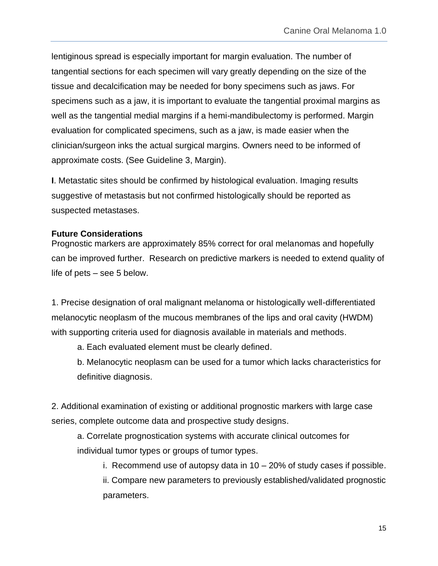lentiginous spread is especially important for margin evaluation. The number of tangential sections for each specimen will vary greatly depending on the size of the tissue and decalcification may be needed for bony specimens such as jaws. For specimens such as a jaw, it is important to evaluate the tangential proximal margins as well as the tangential medial margins if a hemi-mandibulectomy is performed. Margin evaluation for complicated specimens, such as a jaw, is made easier when the clinician/surgeon inks the actual surgical margins. Owners need to be informed of approximate costs. (See Guideline 3, Margin).

**I**. Metastatic sites should be confirmed by histological evaluation. Imaging results suggestive of metastasis but not confirmed histologically should be reported as suspected metastases.

#### **Future Considerations**

Prognostic markers are approximately 85% correct for oral melanomas and hopefully can be improved further. Research on predictive markers is needed to extend quality of life of pets – see 5 below.

1. Precise designation of oral malignant melanoma or histologically well-differentiated melanocytic neoplasm of the mucous membranes of the lips and oral cavity (HWDM) with supporting criteria used for diagnosis available in materials and methods.

a. Each evaluated element must be clearly defined.

b. Melanocytic neoplasm can be used for a tumor which lacks characteristics for definitive diagnosis.

2. Additional examination of existing or additional prognostic markers with large case series, complete outcome data and prospective study designs.

a. Correlate prognostication systems with accurate clinical outcomes for individual tumor types or groups of tumor types.

i. Recommend use of autopsy data in 10 – 20% of study cases if possible.

ii. Compare new parameters to previously established/validated prognostic parameters.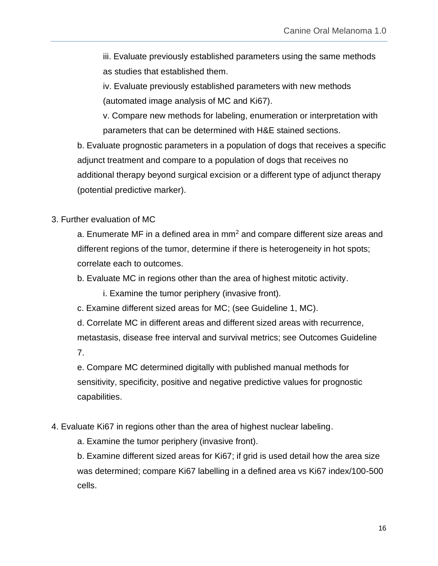iii. Evaluate previously established parameters using the same methods as studies that established them.

iv. Evaluate previously established parameters with new methods (automated image analysis of MC and Ki67).

v. Compare new methods for labeling, enumeration or interpretation with parameters that can be determined with H&E stained sections.

b. Evaluate prognostic parameters in a population of dogs that receives a specific adjunct treatment and compare to a population of dogs that receives no additional therapy beyond surgical excision or a different type of adjunct therapy (potential predictive marker).

# 3. Further evaluation of MC

a. Enumerate MF in a defined area in  $mm<sup>2</sup>$  and compare different size areas and different regions of the tumor, determine if there is heterogeneity in hot spots; correlate each to outcomes.

b. Evaluate MC in regions other than the area of highest mitotic activity.

i. Examine the tumor periphery (invasive front).

c. Examine different sized areas for MC; (see Guideline 1, MC).

d. Correlate MC in different areas and different sized areas with recurrence, metastasis, disease free interval and survival metrics; see Outcomes Guideline 7.

e. Compare MC determined digitally with published manual methods for sensitivity, specificity, positive and negative predictive values for prognostic capabilities.

# 4. Evaluate Ki67 in regions other than the area of highest nuclear labeling.

a. Examine the tumor periphery (invasive front).

b. Examine different sized areas for Ki67; if grid is used detail how the area size was determined; compare Ki67 labelling in a defined area vs Ki67 index/100-500 cells.